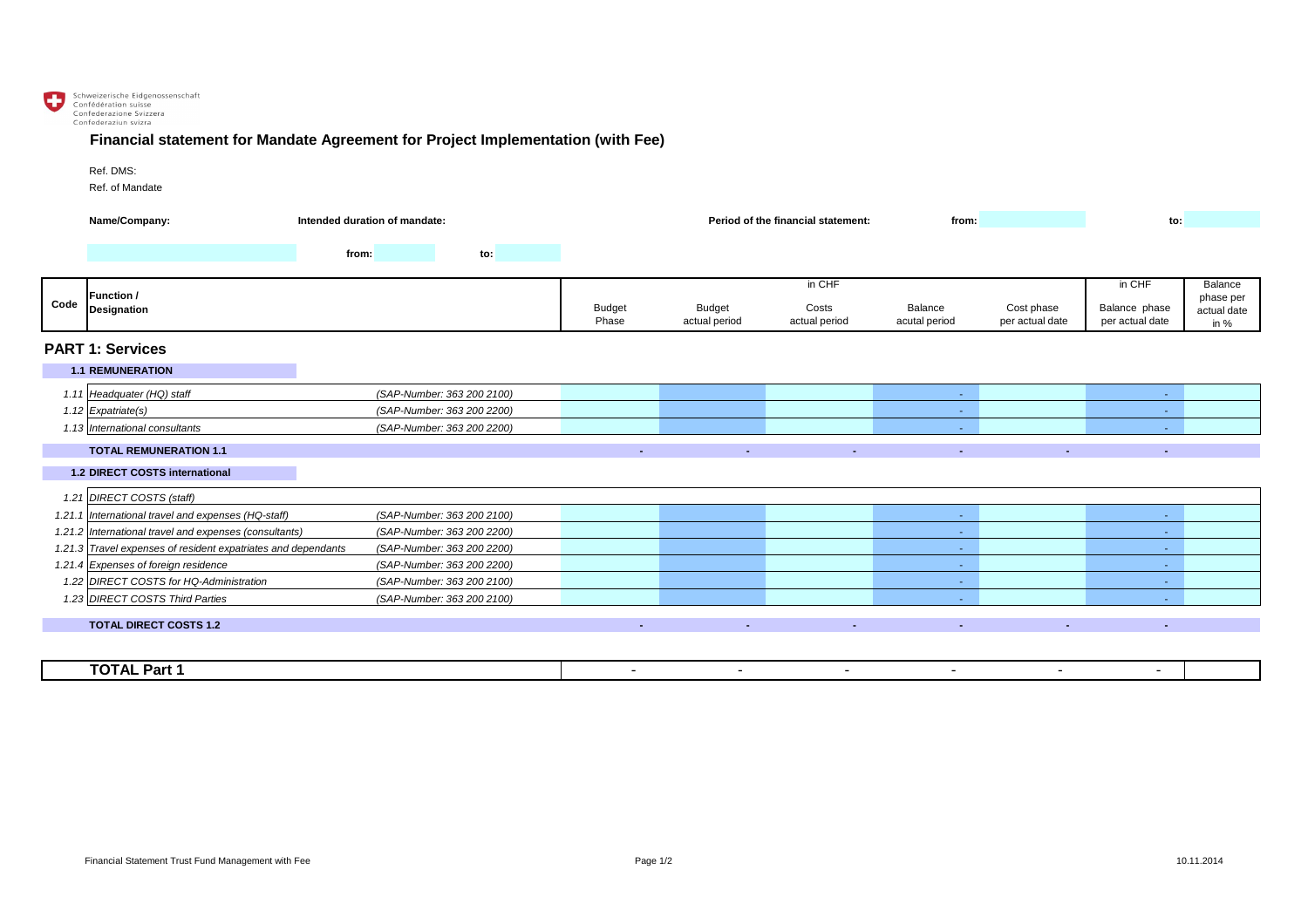

## **Financial statement for Mandate Agreement for Project Implementation (with Fee)**

## Ref. DMS:

Ref. of Mandate

|                         | Name/Company:<br>Intended duration of mandate:                |       |                            | <b>Period of the financial statement:</b><br>from: |                                |                        |                                 | to:                           |                                  |                             |
|-------------------------|---------------------------------------------------------------|-------|----------------------------|----------------------------------------------------|--------------------------------|------------------------|---------------------------------|-------------------------------|----------------------------------|-----------------------------|
|                         |                                                               | from: | to:                        |                                                    |                                |                        |                                 |                               |                                  |                             |
|                         | <b>Function /</b><br><b>Designation</b>                       |       |                            | in CHF                                             |                                |                        |                                 |                               | in CHF                           | <b>Balance</b><br>phase per |
| Code                    |                                                               |       |                            | <b>Budget</b><br>Phase                             | <b>Budget</b><br>actual period | Costs<br>actual period | <b>Balance</b><br>acutal period | Cost phase<br>per actual date | Balance phase<br>per actual date | actual date<br>in $%$       |
| <b>PART 1: Services</b> |                                                               |       |                            |                                                    |                                |                        |                                 |                               |                                  |                             |
|                         | <b>1.1 REMUNERATION</b>                                       |       |                            |                                                    |                                |                        |                                 |                               |                                  |                             |
|                         | 1.11 Headquater (HQ) staff                                    |       | (SAP-Number: 363 200 2100) |                                                    |                                |                        | <b>Section</b>                  |                               | <b>Section</b>                   |                             |
|                         | 1.12 $Expartiate(s)$                                          |       | (SAP-Number: 363 200 2200) |                                                    |                                |                        | <b>Contract</b>                 |                               | $\sim$                           |                             |
|                         | 1.13 International consultants                                |       | (SAP-Number: 363 200 2200) |                                                    |                                |                        | $\sim$                          |                               |                                  |                             |
|                         | <b>TOTAL REMUNERATION 1.1</b>                                 |       |                            | $\sim$                                             | $\sim$                         | <b>Section</b>         | $\sim$                          | $\sim$                        | $\sim$                           |                             |
|                         | <b>1.2 DIRECT COSTS international</b>                         |       |                            |                                                    |                                |                        |                                 |                               |                                  |                             |
|                         | 1.21 DIRECT COSTS (staff)                                     |       |                            |                                                    |                                |                        |                                 |                               |                                  |                             |
|                         | 1.21.1 International travel and expenses (HQ-staff)           |       | (SAP-Number: 363 200 2100) |                                                    |                                |                        | $\sim$ $ \sim$                  |                               |                                  |                             |
|                         | 1.21.2 International travel and expenses (consultants)        |       | (SAP-Number: 363 200 2200) |                                                    |                                |                        | $\sim$                          |                               |                                  |                             |
|                         | 1.21.3 Travel expenses of resident expatriates and dependants |       | (SAP-Number: 363 200 2200) |                                                    |                                |                        | $\sim$ $-$                      |                               | $\sim$                           |                             |
|                         | 1.21.4 Expenses of foreign residence                          |       | (SAP-Number: 363 200 2200) |                                                    |                                |                        | $\sim$ .                        |                               | $\sim$                           |                             |
|                         | 1.22 DIRECT COSTS for HQ-Administration                       |       | (SAP-Number: 363 200 2100) |                                                    |                                |                        | $\sim$ $-$                      |                               | $\sim$                           |                             |
|                         | 1.23 DIRECT COSTS Third Parties                               |       | (SAP-Number: 363 200 2100) |                                                    |                                |                        | <b>Contract</b>                 |                               | $\sim$                           |                             |
|                         | <b>TOTAL DIRECT COSTS 1.2</b>                                 |       |                            |                                                    |                                |                        | $\sim 10$                       | $\sim$                        | ж.                               |                             |
|                         |                                                               |       |                            |                                                    |                                |                        |                                 |                               |                                  |                             |

| ----<br>----<br><b>FOTAL Part 1</b> |  |  |  |  |
|-------------------------------------|--|--|--|--|
|                                     |  |  |  |  |

| tement:<br>from: | to: |  |
|------------------|-----|--|
|                  |     |  |